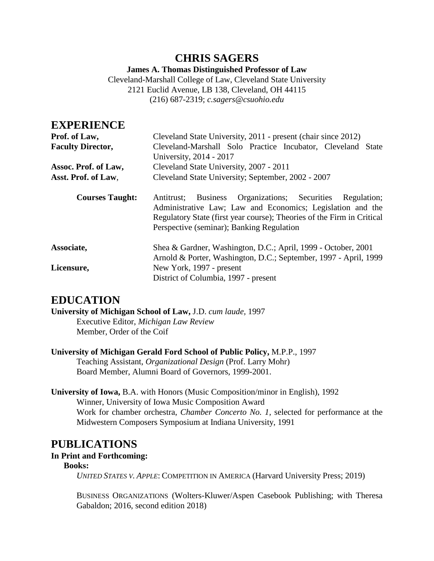**James A. Thomas Distinguished Professor of Law**

Cleveland-Marshall College of Law, Cleveland State University 2121 Euclid Avenue, LB 138, Cleveland, OH 44115 (216) 687-2319; *c.sagers@csuohio.edu*

### **EXPERIENCE**

| Prof. of Law,            | Cleveland State University, 2011 - present (chair since 2012)                                                                                                                                                                                                  |
|--------------------------|----------------------------------------------------------------------------------------------------------------------------------------------------------------------------------------------------------------------------------------------------------------|
| <b>Faculty Director,</b> | Cleveland-Marshall Solo Practice Incubator, Cleveland State                                                                                                                                                                                                    |
|                          | University, 2014 - 2017                                                                                                                                                                                                                                        |
| Assoc. Prof. of Law,     | Cleveland State University, 2007 - 2011                                                                                                                                                                                                                        |
| Asst. Prof. of Law.      | Cleveland State University; September, 2002 - 2007                                                                                                                                                                                                             |
| <b>Courses Taught:</b>   | Organizations; Securities<br><b>Business</b><br>Regulation;<br>Antitrust:<br>Administrative Law; Law and Economics; Legislation and the<br>Regulatory State (first year course); Theories of the Firm in Critical<br>Perspective (seminar); Banking Regulation |
| Associate,               | Shea & Gardner, Washington, D.C.; April, 1999 - October, 2001<br>Arnold & Porter, Washington, D.C.; September, 1997 - April, 1999                                                                                                                              |
| Licensure,               | New York, 1997 - present<br>District of Columbia, 1997 - present                                                                                                                                                                                               |

## **EDUCATION**

**University of Michigan School of Law,** J.D. *cum laude,* 1997 Executive Editor, *Michigan Law Review* Member, Order of the Coif

**University of Michigan Gerald Ford School of Public Policy,** M.P.P., 1997 Teaching Assistant, *Organizational Design* (Prof. Larry Mohr) Board Member, Alumni Board of Governors, 1999-2001.

**University of Iowa,** B.A. with Honors (Music Composition/minor in English), 1992 Winner, University of Iowa Music Composition Award Work for chamber orchestra, *Chamber Concerto No. 1,* selected for performance at the Midwestern Composers Symposium at Indiana University, 1991

## **PUBLICATIONS**

### **In Print and Forthcoming:**

### **Books:**

*UNITED STATES V. APPLE*: COMPETITION IN AMERICA (Harvard University Press; 2019)

BUSINESS ORGANIZATIONS (Wolters-Kluwer/Aspen Casebook Publishing; with Theresa Gabaldon; 2016, second edition 2018)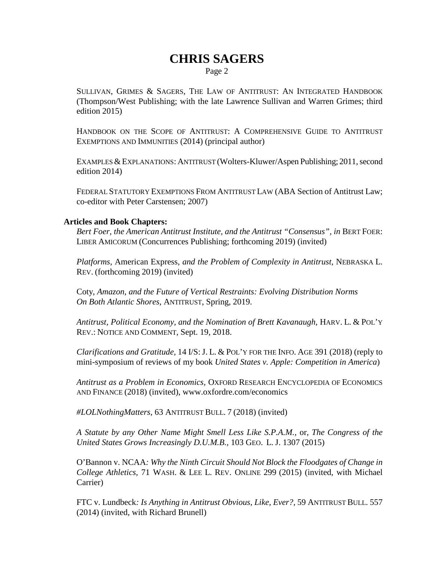Page 2

SULLIVAN, GRIMES & SAGERS, THE LAW OF ANTITRUST: AN INTEGRATED HANDBOOK (Thompson/West Publishing; with the late Lawrence Sullivan and Warren Grimes; third edition 2015)

HANDBOOK ON THE SCOPE OF ANTITRUST: A COMPREHENSIVE GUIDE TO ANTITRUST EXEMPTIONS AND IMMUNITIES (2014) (principal author)

EXAMPLES & EXPLANATIONS: ANTITRUST (Wolters-Kluwer/Aspen Publishing; 2011, second edition 2014)

FEDERAL STATUTORY EXEMPTIONS FROM ANTITRUST LAW (ABA Section of Antitrust Law; co-editor with Peter Carstensen; 2007)

#### **Articles and Book Chapters:**

*Bert Foer, the American Antitrust Institute, and the Antitrust "Consensus", in BERT FOER:* LIBER AMICORUM (Concurrences Publishing; forthcoming 2019) (invited)

*Platforms,* American Express, *and the Problem of Complexity in Antitrust,* NEBRASKA L. REV. (forthcoming 2019) (invited)

Coty, *Amazon, and the Future of Vertical Restraints: Evolving Distribution Norms On Both Atlantic Shores,* ANTITRUST, Spring, 2019.

*Antitrust, Political Economy, and the Nomination of Brett Kavanaugh,* HARV. L. & POL'Y REV.: NOTICE AND COMMENT, Sept. 19, 2018.

*Clarifications and Gratitude,* 14 I/S:J. L. & POL'Y FOR THE INFO. AGE 391 (2018) (reply to mini-symposium of reviews of my book *United States v. Apple: Competition in America*)

*Antitrust as a Problem in Economics,* OXFORD RESEARCH ENCYCLOPEDIA OF ECONOMICS AND FINANCE (2018) (invited), www.oxfordre.com/economics

*#LOLNothingMatters,* 63 ANTITRUST BULL. 7 (2018) (invited)

*A Statute by any Other Name Might Smell Less Like S.P.A.M.,* or, *The Congress of the United States Grows Increasingly D.U.M.B.,* 103 GEO. L. J. 1307 (2015)

O'Bannon v. NCAA*: Why the Ninth Circuit Should Not Block the Floodgates of Change in College Athletics,* 71 WASH. & LEE L. REV. ONLINE 299 (2015) (invited, with Michael Carrier)

FTC v. Lundbeck*: Is Anything in Antitrust Obvious, Like, Ever?,* 59 ANTITRUST BULL. 557 (2014) (invited, with Richard Brunell)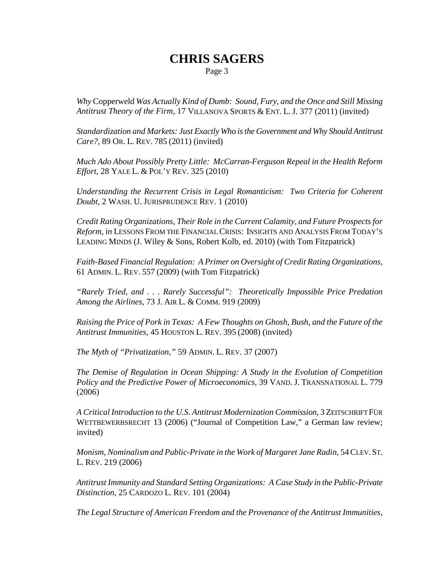Page 3

*Why* Copperweld *Was Actually Kind of Dumb: Sound, Fury, and the Once and Still Missing Antitrust Theory of the Firm,* 17 VILLANOVA SPORTS & ENT. L. J. 377 (2011) (invited)

*Standardization and Markets: Just Exactly Who is the Government and Why Should Antitrust Care?,* 89 OR. L. REV. 785 (2011) (invited)

*Much Ado About Possibly Pretty Little: McCarran-Ferguson Repeal in the Health Reform Effort,* 28 YALE L. & POL'Y REV. 325 (2010)

*Understanding the Recurrent Crisis in Legal Romanticism: Two Criteria for Coherent Doubt,* 2 WASH. U. JURISPRUDENCE REV. 1 (2010)

*Credit Rating Organizations, Their Role in the Current Calamity, and Future Prospects for Reform, in* LESSONS FROM THE FINANCIAL CRISIS: INSIGHTS AND ANALYSIS FROM TODAY'S LEADING MINDS (J. Wiley & Sons, Robert Kolb, ed. 2010) (with Tom Fitzpatrick)

*Faith-Based Financial Regulation: A Primer on Oversight of Credit Rating Organizations,* 61 ADMIN. L. REV. 557 (2009) (with Tom Fitzpatrick)

*"Rarely Tried, and . . . Rarely Successful": Theoretically Impossible Price Predation Among the Airlines,* 73 J. AIR L. & COMM. 919 (2009)

*Raising the Price of Pork in Texas: A Few Thoughts on Ghosh, Bush, and the Future of the Antitrust Immunities,* 45 HOUSTON L. REV. 395 (2008) (invited)

*The Myth of "Privatization,"* 59 ADMIN. L. REV. 37 (2007)

*The Demise of Regulation in Ocean Shipping: A Study in the Evolution of Competition Policy and the Predictive Power of Microeconomics,* 39 VAND. J. TRANSNATIONAL L. 779 (2006)

*A Critical Introduction to the U.S. Antitrust Modernization Commission,* 3 ZEITSCHRIFT FÜR WETTBEWERBSRECHT 13 (2006) ("Journal of Competition Law," a German law review; invited)

*Monism, Nominalism and Public-Private in the Work of Margaret Jane Radin, 54 CLEV.ST.* L. REV. 219 (2006)

*Antitrust Immunity and Standard Setting Organizations: A Case Study in the Public-Private Distinction*, 25 CARDOZO L. REV. 101 (2004)

*The Legal Structure of American Freedom and the Provenance of the Antitrust Immunities,*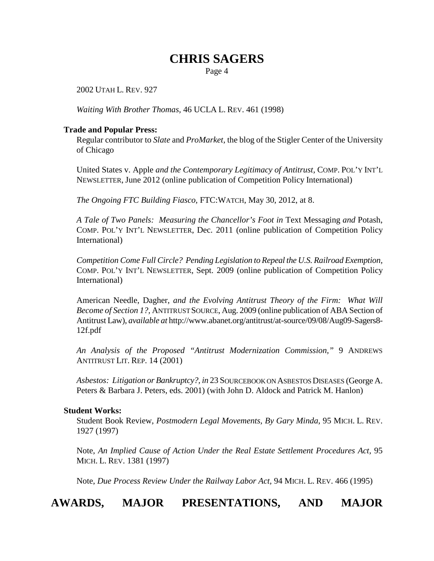Page 4

2002 UTAH L. REV. 927

*Waiting With Brother Thomas,* 46 UCLA L. REV. 461 (1998)

#### **Trade and Popular Press:**

Regular contributor to *Slate* and *ProMarket,* the blog of the Stigler Center of the University of Chicago

United States v. Apple *and the Contemporary Legitimacy of Antitrust,* COMP. POL'Y INT'L NEWSLETTER, June 2012 (online publication of Competition Policy International)

*The Ongoing FTC Building Fiasco,* FTC:WATCH, May 30, 2012, at 8.

*A Tale of Two Panels: Measuring the Chancellor's Foot in* Text Messaging *and* Potash, COMP. POL'Y INT'L NEWSLETTER, Dec. 2011 (online publication of Competition Policy International)

*Competition Come Full Circle? Pending Legislation to Repeal the U.S. Railroad Exemption,* COMP. POL'Y INT'L NEWSLETTER, Sept. 2009 (online publication of Competition Policy International)

American Needle, Dagher, *and the Evolving Antitrust Theory of the Firm: What Will Become of Section 1?,* ANTITRUST SOURCE, Aug. 2009 (online publication of ABA Section of Antitrust Law), *available at* http://www.abanet.org/antitrust/at-source/09/08/Aug09-Sagers8- 12f.pdf

*An Analysis of the Proposed "Antitrust Modernization Commission,"* 9 ANDREWS ANTITRUST LIT. REP. 14 (2001)

*Asbestos: Litigation or Bankruptcy?, in* 23 SOURCEBOOK ON ASBESTOS DISEASES (George A. Peters & Barbara J. Peters, eds. 2001) (with John D. Aldock and Patrick M. Hanlon)

#### **Student Works:**

Student Book Review, *Postmodern Legal Movements, By Gary Minda*, 95 MICH. L. REV. 1927 (1997)

Note, *An Implied Cause of Action Under the Real Estate Settlement Procedures Act,* 95 MICH. L. REV. 1381 (1997)

Note, *Due Process Review Under the Railway Labor Act,* 94 MICH. L. REV. 466 (1995)

## **AWARDS, MAJOR PRESENTATIONS, AND MAJOR**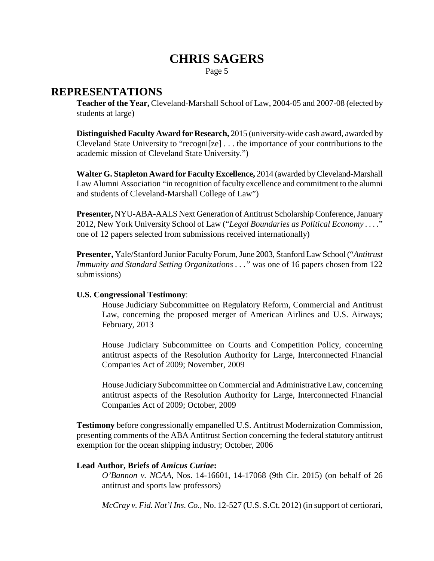Page 5

### **REPRESENTATIONS**

**Teacher of the Year,** Cleveland-Marshall School of Law, 2004-05 and 2007-08 (elected by students at large)

**Distinguished Faculty Award for Research,** 2015 (university-wide cash award, awarded by Cleveland State University to "recogni[ze] . . . the importance of your contributions to the academic mission of Cleveland State University.")

**Walter G. Stapleton Award for Faculty Excellence,** 2014 (awarded by Cleveland-Marshall Law Alumni Association "in recognition of faculty excellence and commitment to the alumni and students of Cleveland-Marshall College of Law")

**Presenter,** NYU-ABA-AALS Next Generation of Antitrust Scholarship Conference, January 2012, New York University School of Law ("*Legal Boundaries as Political Economy . . . .*" one of 12 papers selected from submissions received internationally)

**Presenter,** Yale/Stanford Junior Faculty Forum, June 2003, Stanford Law School ("*Antitrust Immunity and Standard Setting Organizations ...*" was one of 16 papers chosen from 122 submissions)

### **U.S. Congressional Testimony**:

House Judiciary Subcommittee on Regulatory Reform, Commercial and Antitrust Law, concerning the proposed merger of American Airlines and U.S. Airways; February, 2013

House Judiciary Subcommittee on Courts and Competition Policy, concerning antitrust aspects of the Resolution Authority for Large, Interconnected Financial Companies Act of 2009; November, 2009

House Judiciary Subcommittee on Commercial and Administrative Law, concerning antitrust aspects of the Resolution Authority for Large, Interconnected Financial Companies Act of 2009; October, 2009

**Testimony** before congressionally empanelled U.S. Antitrust Modernization Commission, presenting comments of the ABA Antitrust Section concerning the federal statutory antitrust exemption for the ocean shipping industry; October, 2006

### **Lead Author, Briefs of** *Amicus Curiae***:**

*O'Bannon v. NCAA,* Nos. 14-16601, 14-17068 (9th Cir. 2015) (on behalf of 26 antitrust and sports law professors)

*McCray v. Fid. Nat'l Ins. Co.,* No. 12-527 (U.S. S.Ct. 2012) (in support of certiorari,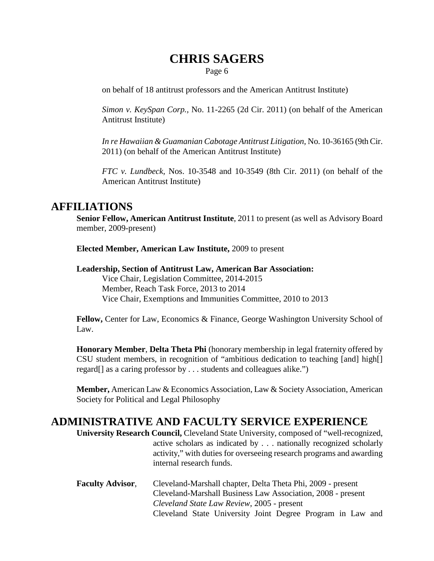Page 6

on behalf of 18 antitrust professors and the American Antitrust Institute)

*Simon v. KeySpan Corp.,* No. 11-2265 (2d Cir. 2011) (on behalf of the American Antitrust Institute)

*In re Hawaiian & Guamanian Cabotage Antitrust Litigation,* No. 10-36165 (9th Cir. 2011) (on behalf of the American Antitrust Institute)

*FTC v. Lundbeck,* Nos. 10-3548 and 10-3549 (8th Cir. 2011) (on behalf of the American Antitrust Institute)

### **AFFILIATIONS**

**Senior Fellow, American Antitrust Institute**, 2011 to present (as well as Advisory Board member, 2009-present)

**Elected Member, American Law Institute,** 2009 to present

**Leadership, Section of Antitrust Law, American Bar Association:** Vice Chair, Legislation Committee, 2014-2015 Member, Reach Task Force, 2013 to 2014 Vice Chair, Exemptions and Immunities Committee, 2010 to 2013

**Fellow,** Center for Law, Economics & Finance, George Washington University School of Law.

**Honorary Member**, **Delta Theta Phi** (honorary membership in legal fraternity offered by CSU student members, in recognition of "ambitious dedication to teaching [and] high[] regard[] as a caring professor by . . . students and colleagues alike.")

**Member,** American Law & Economics Association, Law & Society Association, American Society for Political and Legal Philosophy

### **ADMINISTRATIVE AND FACULTY SERVICE EXPERIENCE**

**University Research Council,** Cleveland State University, composed of "well-recognized, active scholars as indicated by . . . nationally recognized scholarly activity," with duties for overseeing research programs and awarding internal research funds.

**Faculty Advisor**, Cleveland-Marshall chapter, Delta Theta Phi, 2009 - present Cleveland-Marshall Business Law Association, 2008 - present *Cleveland State Law Review*, 2005 - present Cleveland State University Joint Degree Program in Law and